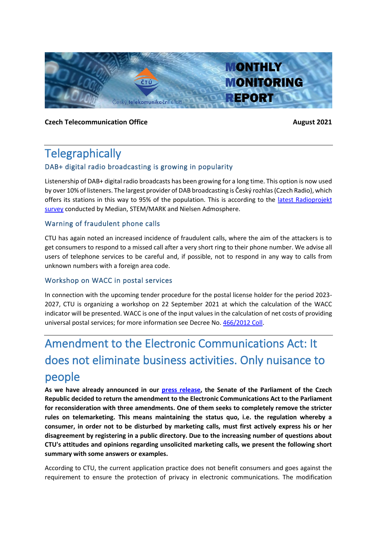

### **Czech Telecommunication Office August 2021**

## **Telegraphically**

## DAB+ digital radio broadcasting is growing in popularity

Listenership of DAB+ digital radio broadcasts has been growing for a long time. This option is now used by over 10% of listeners. The largest provider of DAB broadcasting is Český rozhlas (Czech Radio), which offers its stations in this way to 95% of the population. This is according to the [latest Radioprojekt](https://www.mediar.cz/wp-content/uploads/2021/08/radioprojekt-srpen2021.pdf)  [survey](https://www.mediar.cz/wp-content/uploads/2021/08/radioprojekt-srpen2021.pdf) conducted by Median, STEM/MARK and Nielsen Admosphere.

## Warning of fraudulent phone calls

CTU has again noted an increased incidence of fraudulent calls, where the aim of the attackers is to get consumers to respond to a missed call after a very short ring to their phone number. We advise all users of telephone services to be careful and, if possible, not to respond in any way to calls from unknown numbers with a foreign area code.

## Workshop on WACC in postal services

In connection with the upcoming tender procedure for the postal license holder for the period 2023- 2027, CTU is organizing a workshop on 22 September 2021 at which the calculation of the WACC indicator will be presented. WACC is one of the input values in the calculation of net costs of providing universal postal services; for more information see Decree No. [466/2012 Coll.](https://www.zakonyprolidi.cz/cs/2012-466)

# Amendment to the Electronic Communications Act: It does not eliminate business activities. Only nuisance to people

**As we have already announced in our [press release,](https://www.ctu.eu/press-release-senate-parliament-czech-republic-has-not-approved-transposition-amendment-electronic) the Senate of the Parliament of the Czech Republic decided to return the amendment to the Electronic Communications Act to the Parliament for reconsideration with three amendments. One of them seeks to completely remove the stricter rules on telemarketing. This means maintaining the status quo, i.e. the regulation whereby a consumer, in order not to be disturbed by marketing calls, must first actively express his or her disagreement by registering in a public directory. Due to the increasing number of questions about CTU's attitudes and opinions regarding unsolicited marketing calls, we present the following short summary with some answers or examples.**

According to CTU, the current application practice does not benefit consumers and goes against the requirement to ensure the protection of privacy in electronic communications. The modification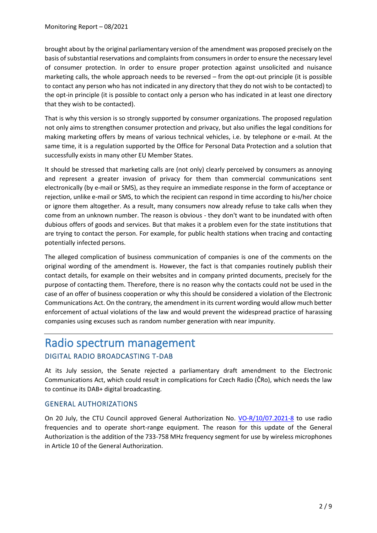brought about by the original parliamentary version of the amendment was proposed precisely on the basis of substantial reservations and complaints from consumers in order to ensure the necessary level of consumer protection. In order to ensure proper protection against unsolicited and nuisance marketing calls, the whole approach needs to be reversed – from the opt-out principle (it is possible to contact any person who has not indicated in any directory that they do not wish to be contacted) to the opt-in principle (it is possible to contact only a person who has indicated in at least one directory that they wish to be contacted).

That is why this version is so strongly supported by consumer organizations. The proposed regulation not only aims to strengthen consumer protection and privacy, but also unifies the legal conditions for making marketing offers by means of various technical vehicles, i.e. by telephone or e-mail. At the same time, it is a regulation supported by the Office for Personal Data Protection and a solution that successfully exists in many other EU Member States.

It should be stressed that marketing calls are (not only) clearly perceived by consumers as annoying and represent a greater invasion of privacy for them than commercial communications sent electronically (by e-mail or SMS), as they require an immediate response in the form of acceptance or rejection, unlike e-mail or SMS, to which the recipient can respond in time according to his/her choice or ignore them altogether. As a result, many consumers now already refuse to take calls when they come from an unknown number. The reason is obvious - they don't want to be inundated with often dubious offers of goods and services. But that makes it a problem even for the state institutions that are trying to contact the person. For example, for public health stations when tracing and contacting potentially infected persons.

The alleged complication of business communication of companies is one of the comments on the original wording of the amendment is. However, the fact is that companies routinely publish their contact details, for example on their websites and in company printed documents, precisely for the purpose of contacting them. Therefore, there is no reason why the contacts could not be used in the case of an offer of business cooperation or why this should be considered a violation of the Electronic Communications Act. On the contrary, the amendment in its current wording would allow much better enforcement of actual violations of the law and would prevent the widespread practice of harassing companies using excuses such as random number generation with near impunity.

## Radio spectrum management DIGITAL RADIO BROADCASTING T-DAB

At its July session, the Senate rejected a parliamentary draft amendment to the Electronic Communications Act, which could result in complications for Czech Radio (ČRo), which needs the law to continue its DAB+ digital broadcasting.

## GENERAL AUTHORIZATIONS

On 20 July, the CTU Council approved General Authorization No. [VO-R/10/07.2021-8](https://www.ctu.cz/sites/default/files/obsah/vo-r10-072021-8.pdf) to use radio frequencies and to operate short-range equipment. The reason for this update of the General Authorization is the addition of the 733-758 MHz frequency segment for use by wireless microphones in Article 10 of the General Authorization.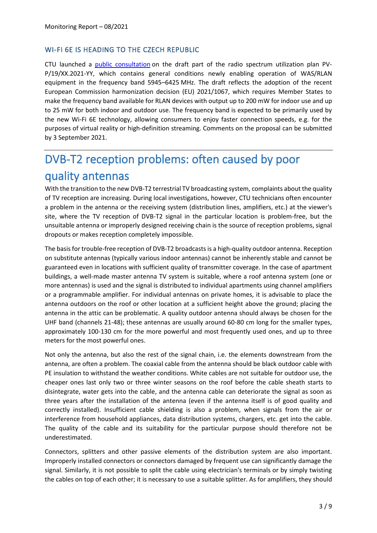### WI-FI 6E IS HEADING TO THE CZECH REPUBLIC

CTU launched a [public consultation](https://www.ctu.cz/vyzva-k-uplatneni-pripominek-k-navrhu-opatreni-obecne-povahy-casti-planu-vyuziti-radioveho-spekt-109) on the draft part of the radio spectrum utilization plan PV-P/19/XX.2021-YY, which contains general conditions newly enabling operation of WAS/RLAN equipment in the frequency band 5945–6425 MHz. The draft reflects the adoption of the recent European Commission harmonization decision (EU) 2021/1067, which requires Member States to make the frequency band available for RLAN devices with output up to 200 mW for indoor use and up to 25 mW for both indoor and outdoor use. The frequency band is expected to be primarily used by the new Wi-Fi 6E technology, allowing consumers to enjoy faster connection speeds, e.g. for the purposes of virtual reality or high-definition streaming. Comments on the proposal can be submitted by 3 September 2021.

# DVB-T2 reception problems: often caused by poor quality antennas

With the transition to the new DVB-T2 terrestrial TV broadcasting system, complaints about the quality of TV reception are increasing. During local investigations, however, CTU technicians often encounter a problem in the antenna or the receiving system (distribution lines, amplifiers, etc.) at the viewer's site, where the TV reception of DVB-T2 signal in the particular location is problem-free, but the unsuitable antenna or improperly designed receiving chain is the source of reception problems, signal dropouts or makes reception completely impossible.

The basis for trouble-free reception of DVB-T2 broadcasts is a high-quality outdoor antenna. Reception on substitute antennas (typically various indoor antennas) cannot be inherently stable and cannot be guaranteed even in locations with sufficient quality of transmitter coverage. In the case of apartment buildings, a well-made master antenna TV system is suitable, where a roof antenna system (one or more antennas) is used and the signal is distributed to individual apartments using channel amplifiers or a programmable amplifier. For individual antennas on private homes, it is advisable to place the antenna outdoors on the roof or other location at a sufficient height above the ground; placing the antenna in the attic can be problematic. A quality outdoor antenna should always be chosen for the UHF band (channels 21-48); these antennas are usually around 60-80 cm long for the smaller types, approximately 100-130 cm for the more powerful and most frequently used ones, and up to three meters for the most powerful ones.

Not only the antenna, but also the rest of the signal chain, i.e. the elements downstream from the antenna, are often a problem. The coaxial cable from the antenna should be black outdoor cable with PE insulation to withstand the weather conditions. White cables are not suitable for outdoor use, the cheaper ones last only two or three winter seasons on the roof before the cable sheath starts to disintegrate, water gets into the cable, and the antenna cable can deteriorate the signal as soon as three years after the installation of the antenna (even if the antenna itself is of good quality and correctly installed). Insufficient cable shielding is also a problem, when signals from the air or interference from household appliances, data distribution systems, chargers, etc. get into the cable. The quality of the cable and its suitability for the particular purpose should therefore not be underestimated.

Connectors, splitters and other passive elements of the distribution system are also important. Improperly installed connectors or connectors damaged by frequent use can significantly damage the signal. Similarly, it is not possible to split the cable using electrician's terminals or by simply twisting the cables on top of each other; it is necessary to use a suitable splitter. As for amplifiers, they should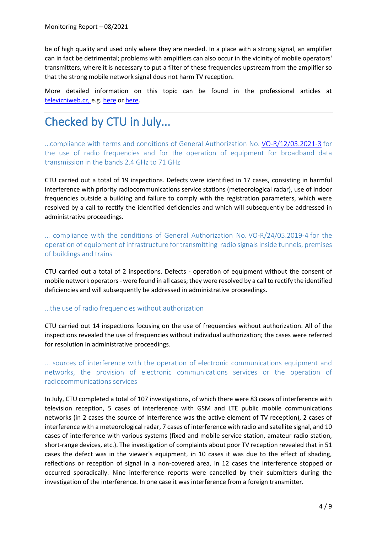be of high quality and used only where they are needed. In a place with a strong signal, an amplifier can in fact be detrimental; problems with amplifiers can also occur in the vicinity of mobile operators' transmitters, where it is necessary to put a filter of these frequencies upstream from the amplifier so that the strong mobile network signal does not harm TV reception.

More detailed information on this topic can be found in the professional articles at [televizniweb.cz,](http://televizniweb.cz/) e.g. [here](https://www.televizniweb.cz/2019/07/srovnavaci-test-anten-porovnali-jsme-pro-vas-jednoduchou-venkovni-a-aktivni-digitalni-antenu/) or [here.](https://www.televizniweb.cz/2020/06/velky-test-anten-pro-prijem-dvb-t2-jake-jsou-mezi-nimi-rozdily-a-jaka-zachyti-signal-nejlepe/)

# Checked by CTU in July...

…compliance with terms and conditions of General Authorization No. [VO-R/12/03.2021-3](https://www.ctu.eu/sites/default/files/obsah/stranky/74784/soubory/vo-r-12-03.2021-3enfin.pdf) for the use of radio frequencies and for the operation of equipment for broadband data transmission in the bands 2.4 GHz to 71 GHz

CTU carried out a total of 19 inspections. Defects were identified in 17 cases, consisting in harmful interference with priority radiocommunications service stations (meteorological radar), use of indoor frequencies outside a building and failure to comply with the registration parameters, which were resolved by a call to rectify the identified deficiencies and which will subsequently be addressed in administrative proceedings.

… compliance with the conditions of General Authorization No. [VO-R/24/05.2019-4](https://www.ctu.cz/sites/default/files/obsah/ctu/vseobecne-opravneni-c.vo-r/24/05.2019-4/obrazky/vo-r24-052019-4.pdf) for the operation of equipment of infrastructure for transmitting radio signals inside tunnels, premises of buildings and trains

CTU carried out a total of 2 inspections. Defects - operation of equipment without the consent of mobile network operators - were found in all cases; they were resolved by a call to rectify the identified deficiencies and will subsequently be addressed in administrative proceedings.

#### …the use of radio frequencies without authorization

CTU carried out 14 inspections focusing on the use of frequencies without authorization. All of the inspections revealed the use of frequencies without individual authorization; the cases were referred for resolution in administrative proceedings.

… sources of interference with the operation of electronic communications equipment and networks, the provision of electronic communications services or the operation of radiocommunications services

In July, CTU completed a total of 107 investigations, of which there were 83 cases of interference with television reception, 5 cases of interference with GSM and LTE public mobile communications networks (in 2 cases the source of interference was the active element of TV reception), 2 cases of interference with a meteorological radar, 7 cases of interference with radio and satellite signal, and 10 cases of interference with various systems (fixed and mobile service station, amateur radio station, short-range devices, etc.). The investigation of complaints about poor TV reception revealed that in 51 cases the defect was in the viewer's equipment, in 10 cases it was due to the effect of shading, reflections or reception of signal in a non-covered area, in 12 cases the interference stopped or occurred sporadically. Nine interference reports were cancelled by their submitters during the investigation of the interference. In one case it was interference from a foreign transmitter.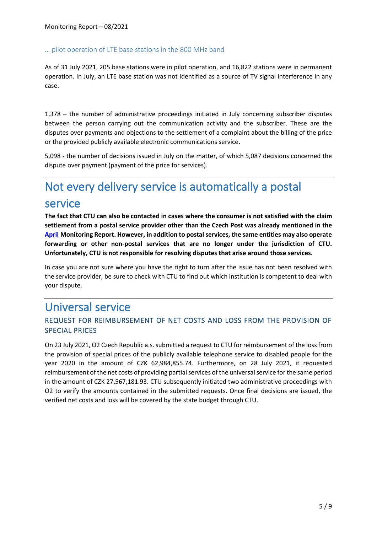#### … pilot operation of LTE base stations in the 800 MHz band

As of 31 July 2021, 205 base stations were in pilot operation, and 16,822 stations were in permanent operation. In July, an LTE base station was not identified as a source of TV signal interference in any case.

1,378 – the number of administrative proceedings initiated in July concerning subscriber disputes between the person carrying out the communication activity and the subscriber. These are the disputes over payments and objections to the settlement of a complaint about the billing of the price or the provided publicly available electronic communications service.

5,098 - the number of decisions issued in July on the matter, of which 5,087 decisions concerned the dispute over payment (payment of the price for services).

## Not every delivery service is automatically a postal service

**The fact that CTU can also be contacted in cases where the consumer is not satisfied with the claim settlement from a postal service provider other than the Czech Post was already mentioned in the [April](https://www.ctu.eu/sites/default/files/obsah/ctu/monthly-monitoring-report-no.4/2021/obrazky/monthlymonitoringreport42021en_0.pdf) Monitoring Report. However, in addition to postal services, the same entities may also operate forwarding or other non-postal services that are no longer under the jurisdiction of CTU. Unfortunately, CTU is not responsible for resolving disputes that arise around those services.**

In case you are not sure where you have the right to turn after the issue has not been resolved with the service provider, be sure to check with CTU to find out which institution is competent to deal with your dispute.

## Universal service

## REQUEST FOR REIMBURSEMENT OF NET COSTS AND LOSS FROM THE PROVISION OF SPECIAL PRICES

On 23 July 2021, O2 Czech Republic a.s. submitted a request to CTU for reimbursement of the loss from the provision of special prices of the publicly available telephone service to disabled people for the year 2020 in the amount of CZK 62,984,855.74. Furthermore, on 28 July 2021, it requested reimbursement of the net costs of providing partial services of the universal service for the same period in the amount of CZK 27,567,181.93. CTU subsequently initiated two administrative proceedings with O2 to verify the amounts contained in the submitted requests. Once final decisions are issued, the verified net costs and loss will be covered by the state budget through CTU.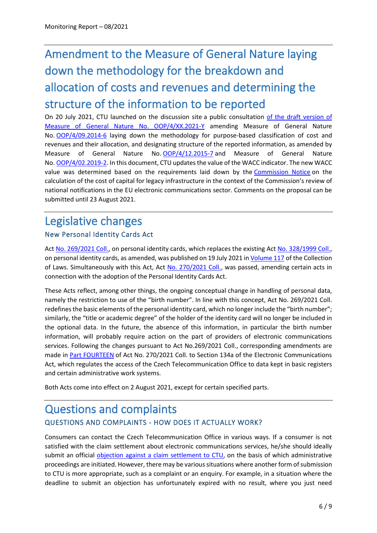# Amendment to the Measure of General Nature laying down the methodology for the breakdown and allocation of costs and revenues and determining the structure of the information to be reported

On 20 July 2021, CTU launched on the discussion site a public consultation [of the draft version of](https://www.ctu.cz/sites/default/files/obsah/ctu/vyzva-k-uplatneni-pripominek-k-navrhu-opatreni-obecne-povahy-c.oop/4/xx.20211-y-kterym-se-meni-opatreni-obecne-povahy-c.oop/4/09.2014-6-kterym-se-stanovi-metodika-uceloveho-cleneni-nakladu-vynosu-jejich-prirazo/oop4kverejnekonzutaci.pdf)  [Measure of General Nature No. OOP/4/XX.2021-Y](https://www.ctu.cz/sites/default/files/obsah/ctu/vyzva-k-uplatneni-pripominek-k-navrhu-opatreni-obecne-povahy-c.oop/4/xx.20211-y-kterym-se-meni-opatreni-obecne-povahy-c.oop/4/09.2014-6-kterym-se-stanovi-metodika-uceloveho-cleneni-nakladu-vynosu-jejich-prirazo/oop4kverejnekonzutaci.pdf) amending Measure of General Nature No. [OOP/4/09.2014-6](https://www.ctu.cz/cs/download/oop/oop_04/oop_04-09_2014-06.pdf) laying down the methodology for purpose-based classification of cost and revenues and their allocation, and designating structure of the reported information, as amended by Measure of General Nature No. [OOP/4/12.2015-7](https://www.ctu.cz/sites/default/files/obsah/ckeditor/oop_04-12_2015-07.pdf) and Measure of General Nature No. [OOP/4/02.2019-2.](https://www.ctu.cz/sites/default/files/obsah/predpisy-opatreni/38841/soubory/oop40220192finalnielr.pdf) In this document, CTU updates the value of the WACC indicator. The new WACC value was determined based on the requirements laid down by the [Commission Notice](https://op.europa.eu/en/publication-detail/-/publication/87f74532-007e-11ea-8c1f-01aa75ed71a1/language-en/format-HTML) on the calculation of the cost of capital for legacy infrastructure in the context of the Commission's review of national notifications in the EU electronic communications sector. Comments on the proposal can be submitted until 23 August 2021.

## Legislative changes

## New Personal Identity Cards Act

Act No. [269/2021](https://www.zakonyprolidi.cz/cs/2021-269) Coll., on personal identity cards, which replaces the existing Act No. [328/1999 Coll.,](https://www.zakonyprolidi.cz/cs/1999-328) on personal identity cards, as amended, was published on 19 July 2021 in *Volume 117* of the Collection of Laws. Simultaneously with this Act, Act [No. 270/2021 Coll.,](https://www.zakonyprolidi.cz/cs/2021-270) was passed, amending certain acts in connection with the adoption of the Personal Identity Cards Act.

These Acts reflect, among other things, the ongoing conceptual change in handling of personal data, namely the restriction to use of the "birth number". In line with this concept, Act No. 269/2021 Coll. redefines the basic elements of the personal identity card, which no longer include the "birth number"; similarly, the "title or academic degree" of the holder of the identity card will no longer be included in the optional data. In the future, the absence of this information, in particular the birth number information, will probably require action on the part of providers of electronic communications services. Following the changes pursuant to Act No.269/2021 Coll., corresponding amendments are made in [Part FOURTEEN](https://www.zakonyprolidi.cz/cs/2021-270#cast14) of Act No. 270/2021 Coll. to Section 134a of the Electronic Communications Act, which regulates the access of the Czech Telecommunication Office to data kept in basic registers and certain administrative work systems.

Both Acts come into effect on 2 August 2021, except for certain specified parts.

## Questions and complaints QUESTIONS AND COMPLAINTS - HOW DOES IT ACTUALLY WORK?

Consumers can contact the Czech Telecommunication Office in various ways. If a consumer is not satisfied with the claim settlement about electronic communications services, he/she should ideally submit an official [objection against a claim settlement to CTU,](https://www.ctu.eu/sites/default/files/obsah/stranky/60380/soubory/claimsagainste-communicationservices.pdf) on the basis of which administrative proceedings are initiated. However, there may be various situations where another form of submission to CTU is more appropriate, such as a complaint or an enquiry. For example, in a situation where the deadline to submit an objection has unfortunately expired with no result, where you just need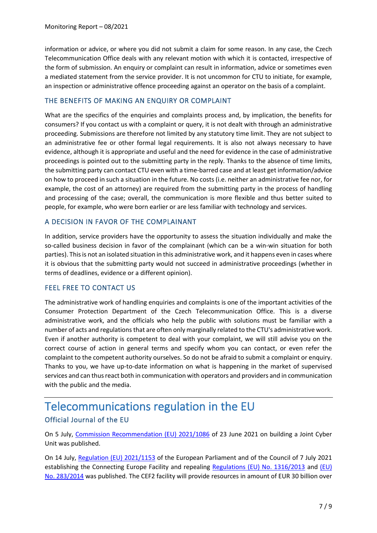information or advice, or where you did not submit a claim for some reason. In any case, the Czech Telecommunication Office deals with any relevant motion with which it is contacted, irrespective of the form of submission. An enquiry or complaint can result in information, advice or sometimes even a mediated statement from the service provider. It is not uncommon for CTU to initiate, for example, an inspection or administrative offence proceeding against an operator on the basis of a complaint.

### THE BENEFITS OF MAKING AN ENQUIRY OR COMPLAINT

What are the specifics of the enquiries and complaints process and, by implication, the benefits for consumers? If you contact us with a complaint or query, it is not dealt with through an administrative proceeding. Submissions are therefore not limited by any statutory time limit. They are not subject to an administrative fee or other formal legal requirements. It is also not always necessary to have evidence, although it is appropriate and useful and the need for evidence in the case of administrative proceedings is pointed out to the submitting party in the reply. Thanks to the absence of time limits, the submitting party can contact CTU even with a time-barred case and at least get information/advice on how to proceed in such a situation in the future. No costs (i.e. neither an administrative fee nor, for example, the cost of an attorney) are required from the submitting party in the process of handling and processing of the case; overall, the communication is more flexible and thus better suited to people, for example, who were born earlier or are less familiar with technology and services.

### A DECISION IN FAVOR OF THE COMPLAINANT

In addition, service providers have the opportunity to assess the situation individually and make the so-called business decision in favor of the complainant (which can be a win-win situation for both parties). This is not an isolated situation in this administrative work, and it happens even in cases where it is obvious that the submitting party would not succeed in administrative proceedings (whether in terms of deadlines, evidence or a different opinion).

#### FEEL FREE TO CONTACT US

The administrative work of handling enquiries and complaints is one of the important activities of the Consumer Protection Department of the Czech Telecommunication Office. This is a diverse administrative work, and the officials who help the public with solutions must be familiar with a number of acts and regulations that are often only marginally related to the CTU's administrative work. Even if another authority is competent to deal with your complaint, we will still advise you on the correct course of action in general terms and specify whom you can contact, or even refer the complaint to the competent authority ourselves. So do not be afraid to submit a complaint or enquiry. Thanks to you, we have up-to-date information on what is happening in the market of supervised services and can thus react both in communication with operators and providers and in communication with the public and the media.

## Telecommunications regulation in the EU Official Journal of the EU

On 5 July, [Commission Recommendation \(EU\) 2021/1086](https://eur-lex.europa.eu/legal-content/EN/TXT/PDF/?uri=CELEX:32021H1086&from=EN) of 23 June 2021 on building a Joint Cyber Unit was published.

On 14 July, [Regulation \(EU\) 2021/1153](https://eur-lex.europa.eu/legal-content/EN/TXT/PDF/?uri=CELEX:32021R1153&from=EN) of the European Parliament and of the Council of 7 July 2021 establishing the Connecting Europe Facility and repealing [Regulations \(EU\) No. 1316/2013](https://eur-lex.europa.eu/legal-content/EN/TXT/PDF/?uri=CELEX:32013R1316&qid=1626242598282&from=EN) and (EU) [No. 283/2014](https://eur-lex.europa.eu/legal-content/EN/TXT/PDF/?uri=CELEX:32014R0283&qid=1626242671427&from=EN) was published. The CEF2 facility will provide resources in amount of EUR 30 billion over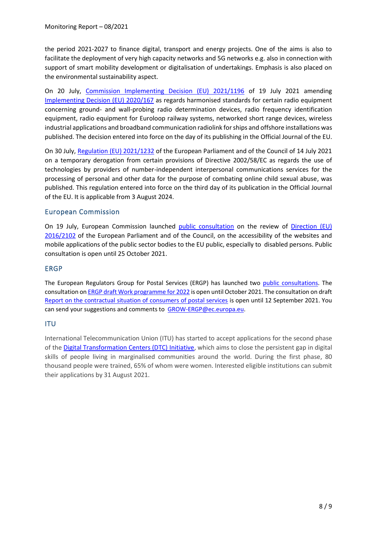the period 2021-2027 to finance digital, transport and energy projects. One of the aims is also to facilitate the deployment of very high capacity networks and 5G networks e.g. also in connection with support of smart mobility development or digitalisation of undertakings. Emphasis is also placed on the environmental sustainability aspect.

On 20 July, [Commission Implementing Decision \(EU\) 2021/1196](https://eur-lex.europa.eu/legal-content/EN/TXT/PDF/?uri=CELEX:32021D1196&from=EN) of 19 July 2021 amending [Implementing Decision \(EU\) 2020/167](https://eur-lex.europa.eu/legal-content/EN/TXT/PDF/?uri=CELEX:32020D0167&qid=1626763829343&from=EN) as regards harmonised standards for certain radio equipment concerning ground- and wall-probing radio determination devices, radio frequency identification equipment, radio equipment for Euroloop railway systems, networked short range devices, wireless industrial applications and broadband communication radiolink for ships and offshore installations was published. The decision entered into force on the day of its publishing in the Official Journal of the EU.

On 30 July, [Regulation \(EU\) 2021/1232](https://eur-lex.europa.eu/legal-content/CS/TXT/?uri=uriserv%3AOJ.L_.2021.274.01.0041.01.CES&toc=OJ%3AL%3A2021%3A274%3ATOC) of the European Parliament and of the Council of 14 July 2021 on a temporary derogation from certain provisions of Directive 2002/58/EC as regards the use of technologies by providers of number-independent interpersonal communications services for the processing of personal and other data for the purpose of combating online child sexual abuse, was published. This regulation entered into force on the third day of its publication in the Official Journal of the EU. It is applicable from 3 August 2024.

## European Commission

On 19 July, European Commission launched [public consultation](https://ec.europa.eu/info/law/better-regulation/have-your-say/initiatives/12537-Accessible-web-&-digital-content-for-people-with-disabilities-review-of-EU-rules/public-consultation_en) on the review of Direction (EU) [2016/2102](https://eur-lex.europa.eu/legal-content/CS/TXT/?uri=CELEX%3A32016L2102&qid=1626848799439) of the European Parliament and of the Council, on the accessibility of the websites and mobile applications of the public sector bodies to the EU public, especially to disabled persons. Public consultation is open until 25 October 2021.

#### ERGP

The European Regulators Group for Postal Services (ERGP) has launched two [public consultations.](https://ec.europa.eu/growth/sectors/postal-services/ergp_en) The consultation on [ERGP draft Work programme for 2022](https://ec.europa.eu/docsroom/documents/46051) is open until October 2021. The consultation on draft [Report on the contractual situation of consumers of postal services](https://ec.europa.eu/docsroom/documents/46052) is open until 12 September 2021. You can send your suggestions and comments to [GROW-ERGP@ec.europa.eu.](mailto:GROW-ERGP@ec.europa.eu)

## ITU

International Telecommunication Union (ITU) has started to accept applications for the second phase of the [Digital Transformation Centers \(DTC\) Initiative,](https://www.itu.int/en/mediacentre/Pages/cm32-2021-ITU-Digital-Transformation-Centres-train-80000.aspx) which aims to close the persistent gap in digital skills of people living in marginalised communities around the world. During the first phase, 80 thousand people were trained, 65% of whom were women. Interested eligible institutions can submit their applications by 31 August 2021.